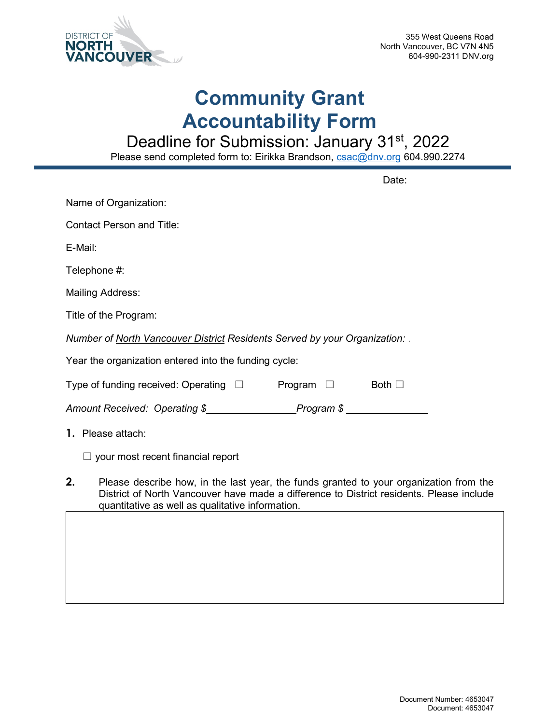

## **Community Grant Accountability Form**

Deadline for Submission: January 31<sup>st</sup>, 2022

Please send completed form to: Eirikka Brandson, <u>csac@dnv.org</u> 604.990.2274

|                                                                           | Date:                                                                                                                                                                              |
|---------------------------------------------------------------------------|------------------------------------------------------------------------------------------------------------------------------------------------------------------------------------|
| Name of Organization:                                                     |                                                                                                                                                                                    |
| <b>Contact Person and Title:</b>                                          |                                                                                                                                                                                    |
| E-Mail:                                                                   |                                                                                                                                                                                    |
| Telephone #:                                                              |                                                                                                                                                                                    |
| <b>Mailing Address:</b>                                                   |                                                                                                                                                                                    |
| Title of the Program:                                                     |                                                                                                                                                                                    |
| Number of North Vancouver District Residents Served by your Organization: |                                                                                                                                                                                    |
| Year the organization entered into the funding cycle:                     |                                                                                                                                                                                    |
| Type of funding received: Operating $\Box$                                | Program $\Box$<br>Both $\square$                                                                                                                                                   |
|                                                                           |                                                                                                                                                                                    |
| 1. Please attach:                                                         |                                                                                                                                                                                    |
| $\Box$ your most recent financial report                                  |                                                                                                                                                                                    |
| 2.<br>quantitative as well as qualitative information.                    | Please describe how, in the last year, the funds granted to your organization from the<br>District of North Vancouver have made a difference to District residents. Please include |
|                                                                           |                                                                                                                                                                                    |